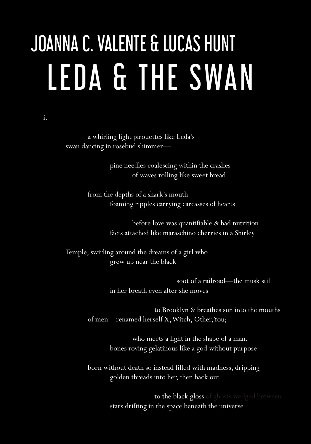# LEDA & THE SWAN JOANNA C. VALENTE & LUCAS HUNT

#### i.

 a whirling light pirouettes like Leda's swan dancing in rosebud shimmer—

> pine needles coalescing within the crashes of waves rolling like sweet bread

 from the depths of a shark's mouth foaming ripples carrying carcasses of hearts

> before love was quantifiable & had nutrition facts attached like maraschino cherries in a Shirley

Temple, swirling around the dreams of a girl who grew up near the black

> soot of a railroad—the musk still in her breath even after she moves

 to Brooklyn & breathes sun into the mouths of men—renamed herself X, Witch, Other, You;

> who meets a light in the shape of a man, bones roving gelatinous like a god without purpose—

 born without death so instead filled with madness, dripping golden threads into her, then back out

> to the black gloss of ghosts wedged between stars drifting in the space beneath the universe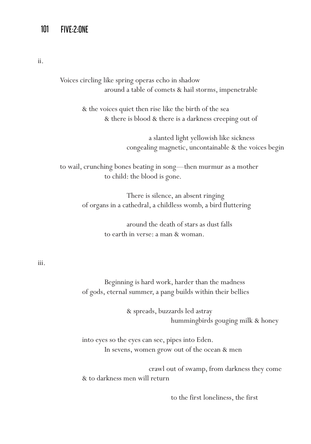ii.

Voices circling like spring operas echo in shadow around a table of comets & hail storms, impenetrable

> & the voices quiet then rise like the birth of the sea & there is blood & there is a darkness creeping out of

> > a slanted light yellowish like sickness congealing magnetic, uncontainable & the voices begin

to wail, crunching bones beating in song—then murmur as a mother to child: the blood is gone.

> There is silence, an absent ringing of organs in a cathedral, a childless womb, a bird fluttering

> > around the death of stars as dust falls to earth in verse: a man & woman.

#### iii.

 Beginning is hard work, harder than the madness of gods, eternal summer, a pang builds within their bellies

> & spreads, buzzards led astray hummingbirds gouging milk & honey

 into eyes so the eyes can see, pipes into Eden. In sevens, women grow out of the ocean & men

 crawl out of swamp, from darkness they come & to darkness men will return

to the first loneliness, the first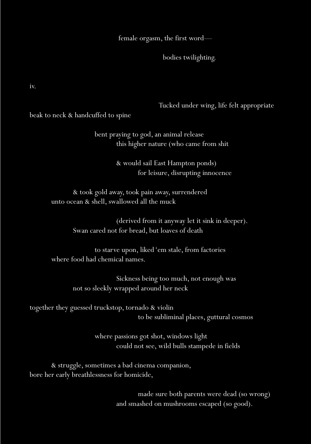female orgasm, the first word—

bodies twilighting.

iv.

Tucked under wing, life felt appropriate

beak to neck & handcuffed to spine

 bent praying to god, an animal release this higher nature (who came from shit

> & would sail East Hampton ponds) for leisure, disrupting innocence

 & took gold away, took pain away, surrendered unto ocean & shell, swallowed all the muck

> (derived from it anyway let it sink in deeper). Swan cared not for bread, but loaves of death

 to starve upon, liked 'em stale, from factories where food had chemical names.

> Sickness being too much, not enough was not so sleekly wrapped around her neck

together they guessed truckstop, tornado & violin to be subliminal places, guttural cosmos

> where passions got shot, windows light could not see, wild bulls stampede in fields

 & struggle, sometimes a bad cinema companion, bore her early breathlessness for homicide,

> made sure both parents were dead (so wrong) and smashed on mushrooms escaped (so good).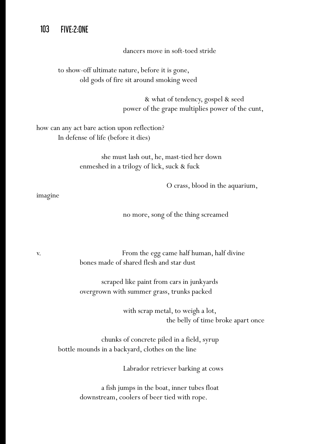dancers move in soft-toed stride

 to show-off ultimate nature, before it is gone, old gods of fire sit around smoking weed

> & what of tendency, gospel & seed power of the grape multiplies power of the cunt,

how can any act bare action upon reflection? In defense of life (before it dies)

> she must lash out, he, mast-tied her down enmeshed in a trilogy of lick, suck & fuck

> > O crass, blood in the aquarium,

imagine

no more, song of the thing screamed

v. From the egg came half human, half divine bones made of shared flesh and star dust

> scraped like paint from cars in junkyards overgrown with summer grass, trunks packed

> > with scrap metal, to weigh a lot, the belly of time broke apart once

 chunks of concrete piled in a field, syrup bottle mounds in a backyard, clothes on the line

Labrador retriever barking at cows

 a fish jumps in the boat, inner tubes float downstream, coolers of beer tied with rope.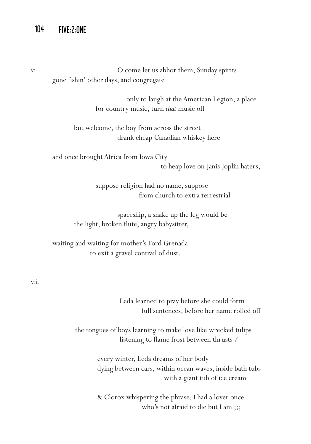vi. O come let us abhor them, Sunday spirits gone fishin' other days, and congregate

> only to laugh at the American Legion, a place for country music, turn *that* music off

 but welcome, the boy from across the street drank cheap Canadian whiskey here

 and once brought Africa from Iowa City to heap love on Janis Joplin haters,

> suppose religion had no name, suppose from church to extra terrestrial

 spaceship, a snake up the leg would be the light, broken flute, angry babysitter,

 waiting and waiting for mother's Ford Grenada to exit a gravel contrail of dust.

vii.

 Leda learned to pray before she could form full sentences, before her name rolled off

 the tongues of boys learning to make love like wrecked tulips listening to flame frost between thrusts /

> every winter, Leda dreams of her body dying between cars, within ocean waves, inside bath tubs with a giant tub of ice cream

 & Clorox whispering the phrase: I had a lover once who's not afraid to die but I am ;;;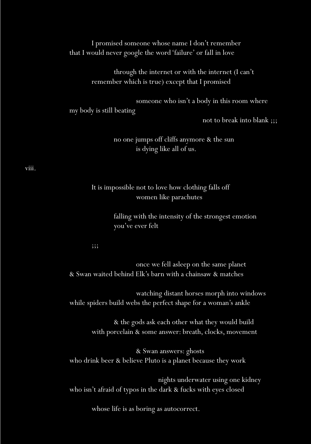I promised someone whose name I don't remember that I would never google the word 'failure' or fall in love

> through the internet or with the internet (I can't remember which is true) except that I promised

> > someone who isn't a body in this room where

my body is still beating

not to break into blank ;;;

 no one jumps off cliffs anymore & the sun is dying like all of us.

viii.

 It is impossible not to love how clothing falls off women like parachutes

> falling with the intensity of the strongest emotion you've ever felt

 $\frac{1}{2}$ ;;;

 once we fell asleep on the same planet & Swan waited behind Elk's barn with a chainsaw & matches

 watching distant horses morph into windows while spiders build webs the perfect shape for a woman's ankle

> & the gods ask each other what they would build with porcelain & some answer: breath, clocks, movement

 & Swan answers: ghosts who drink beer & believe Pluto is a planet because they work

 nights underwater using one kidney who isn't afraid of typos in the dark & fucks with eyes closed

whose life is as boring as autocorrect.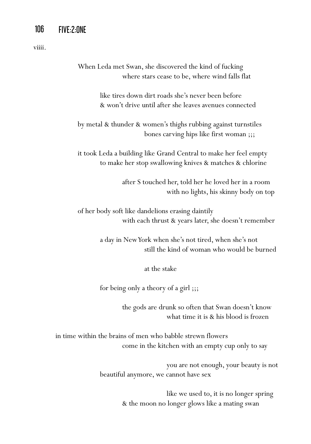viiii.

 When Leda met Swan, she discovered the kind of fucking where stars cease to be, where wind falls flat

> like tires down dirt roads she's never been before & won't drive until after she leaves avenues connected

 by metal & thunder & women's thighs rubbing against turnstiles bones carving hips like first woman ;;;

 it took Leda a building like Grand Central to make her feel empty to make her stop swallowing knives & matches & chlorine

> after S touched her, told her he loved her in a room with no lights, his skinny body on top

 of her body soft like dandelions erasing daintily with each thrust & years later, she doesn't remember

> a day in New York when she's not tired, when she's not still the kind of woman who would be burned

> > at the stake

for being only a theory of a girl ;;;

 the gods are drunk so often that Swan doesn't know what time it is & his blood is frozen

in time within the brains of men who babble strewn flowers come in the kitchen with an empty cup only to say

> you are not enough, your beauty is not beautiful anymore, we cannot have sex

> > like we used to, it is no longer spring & the moon no longer glows like a mating swan